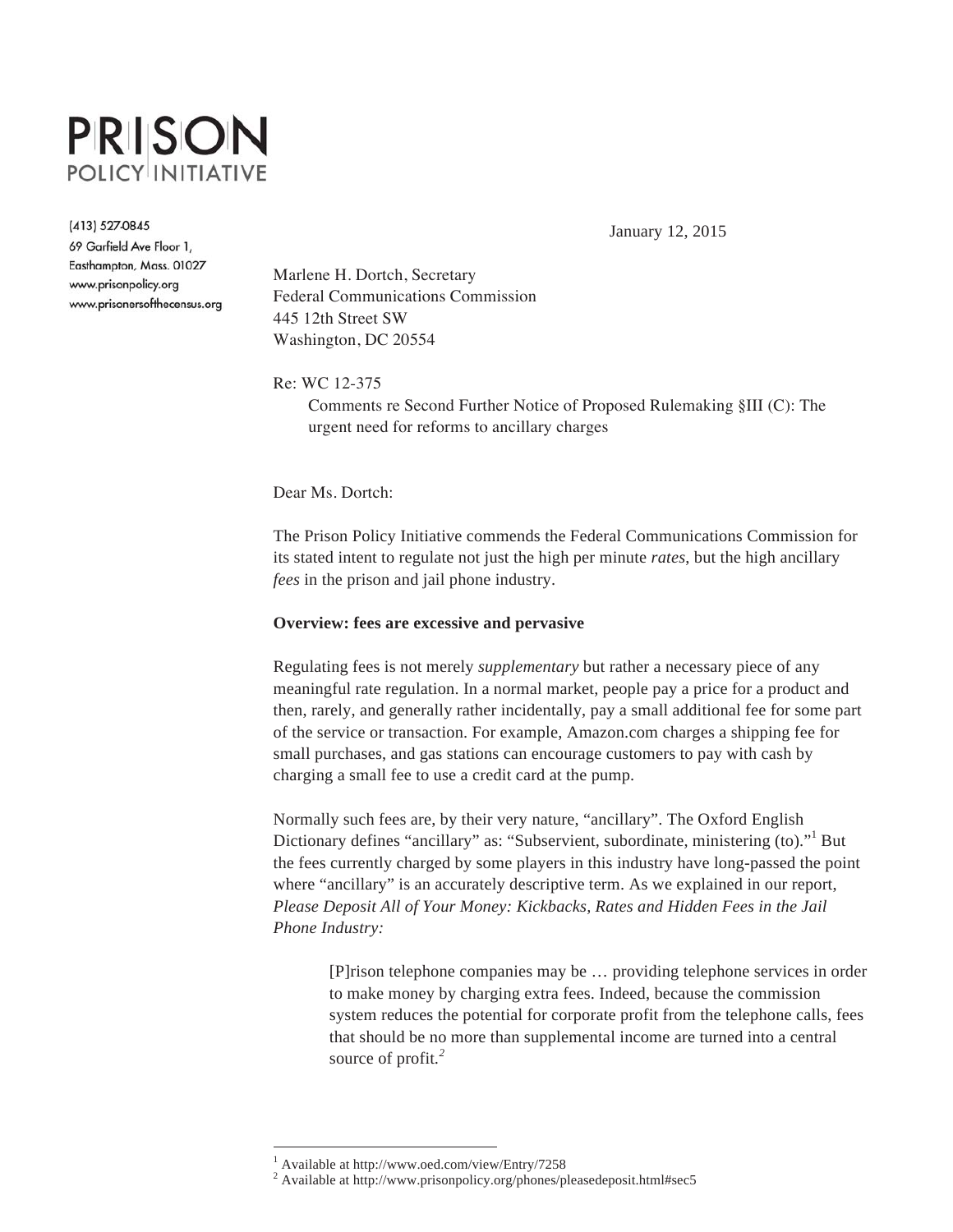# **PRISON POLICY INITIATIVE**

(413) 527-0845 69 Garfield Ave Floor 1, Easthampton, Mass. 01027 www.prisonpolicy.org www.prisonersofthecensus.org

January 12, 2015

Marlene H. Dortch, Secretary Federal Communications Commission 445 12th Street SW Washington, DC 20554

Re: WC 12-375

 Comments re Second Further Notice of Proposed Rulemaking §III (C): The urgent need for reforms to ancillary charges

Dear Ms. Dortch:

The Prison Policy Initiative commends the Federal Communications Commission for its stated intent to regulate not just the high per minute *rates*, but the high ancillary *fees* in the prison and jail phone industry.

### **Overview: fees are excessive and pervasive**

Regulating fees is not merely *supplementary* but rather a necessary piece of any meaningful rate regulation. In a normal market, people pay a price for a product and then, rarely, and generally rather incidentally, pay a small additional fee for some part of the service or transaction. For example, Amazon.com charges a shipping fee for small purchases, and gas stations can encourage customers to pay with cash by charging a small fee to use a credit card at the pump.

Normally such fees are, by their very nature, "ancillary". The Oxford English Dictionary defines "ancillary" as: "Subservient, subordinate, ministering (to)."<sup>1</sup> But the fees currently charged by some players in this industry have long-passed the point where "ancillary" is an accurately descriptive term. As we explained in our report, *Please Deposit All of Your Money: Kickbacks, Rates and Hidden Fees in the Jail Phone Industry:* 

[P]rison telephone companies may be … providing telephone services in order to make money by charging extra fees. Indeed, because the commission system reduces the potential for corporate profit from the telephone calls, fees that should be no more than supplemental income are turned into a central source of profit*. 2*

 $\overline{a}$ 

<sup>1</sup>

 $^1$  Available at http://www.oed.com/view/Entry/7258<br><sup>2</sup> Available at http://www.prisonpolicy.org/phones/pleasedeposit.html#sec5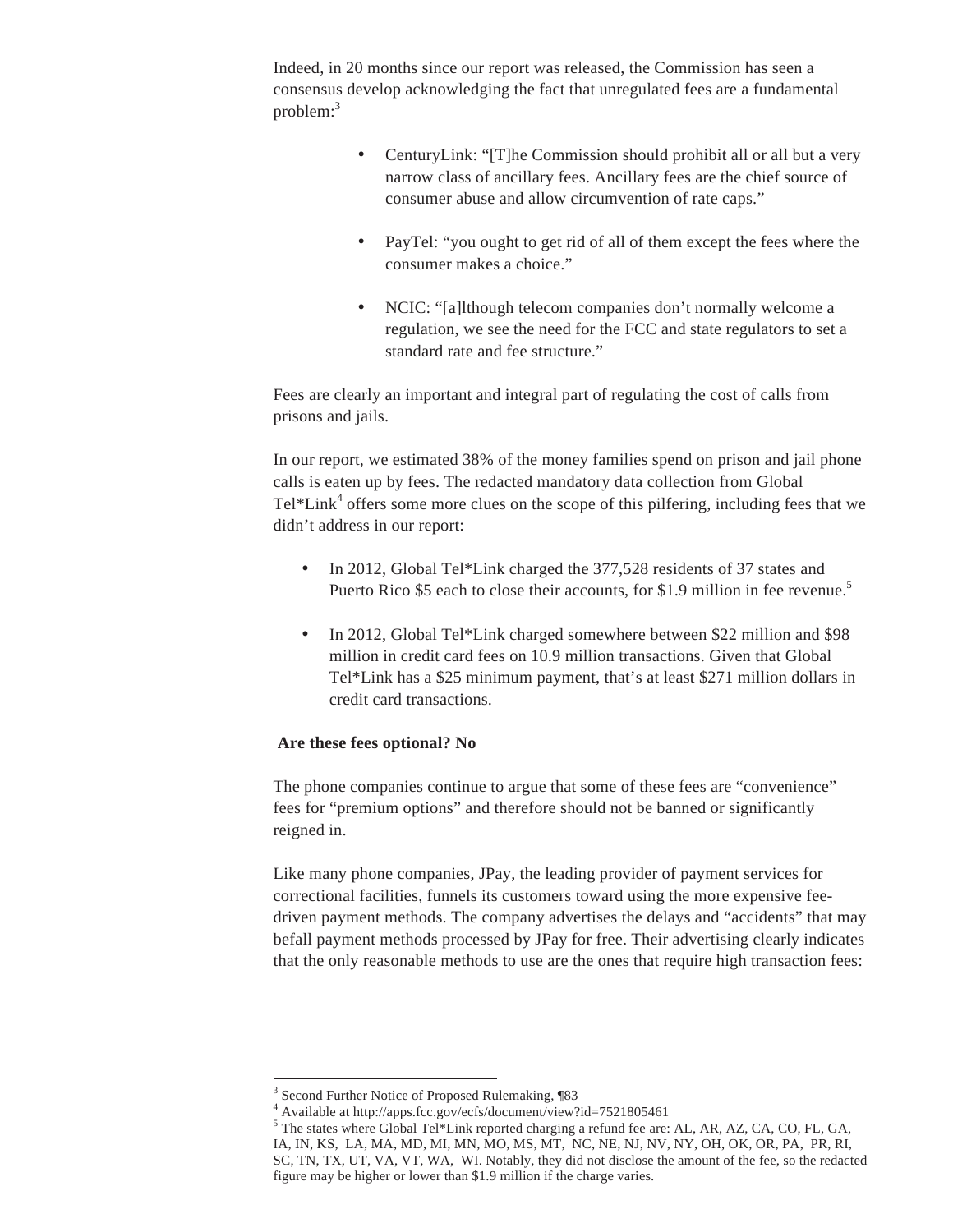Indeed, in 20 months since our report was released, the Commission has seen a consensus develop acknowledging the fact that unregulated fees are a fundamental problem: $3$ 

- CenturyLink: "[T]he Commission should prohibit all or all but a very narrow class of ancillary fees. Ancillary fees are the chief source of consumer abuse and allow circumvention of rate caps."
- PayTel: "you ought to get rid of all of them except the fees where the consumer makes a choice."
- NCIC: "[a]lthough telecom companies don't normally welcome a regulation, we see the need for the FCC and state regulators to set a standard rate and fee structure."

Fees are clearly an important and integral part of regulating the cost of calls from prisons and jails.

In our report, we estimated 38% of the money families spend on prison and jail phone calls is eaten up by fees. The redacted mandatory data collection from Global Tel $*$ Link<sup>4</sup> offers some more clues on the scope of this pilfering, including fees that we didn't address in our report:

- In 2012, Global Tel\*Link charged the 377,528 residents of 37 states and Puerto Rico \$5 each to close their accounts, for \$1.9 million in fee revenue.<sup>5</sup>
- In 2012, Global Tel\*Link charged somewhere between \$22 million and \$98 million in credit card fees on 10.9 million transactions. Given that Global Tel\*Link has a \$25 minimum payment, that's at least \$271 million dollars in credit card transactions.

## **Are these fees optional? No**

The phone companies continue to argue that some of these fees are "convenience" fees for "premium options" and therefore should not be banned or significantly reigned in.

Like many phone companies, JPay, the leading provider of payment services for correctional facilities, funnels its customers toward using the more expensive feedriven payment methods. The company advertises the delays and "accidents" that may befall payment methods processed by JPay for free. Their advertising clearly indicates that the only reasonable methods to use are the ones that require high transaction fees:

 $\overline{a}$ 

<sup>&</sup>lt;sup>3</sup> Second Further Notice of Proposed Rulemaking, ¶83

<sup>4</sup> Available at http://apps.fcc.gov/ecfs/document/view?id=7521805461

<sup>&</sup>lt;sup>5</sup> The states where Global Tel\*Link reported charging a refund fee are: AL, AR, AZ, CA, CO, FL, GA, IA, IN, KS, LA, MA, MD, MI, MN, MO, MS, MT, NC, NE, NJ, NV, NY, OH, OK, OR, PA, PR, RI, SC, TN, TX, UT, VA, VT, WA, WI. Notably, they did not disclose the amount of the fee, so the redacted figure may be higher or lower than \$1.9 million if the charge varies.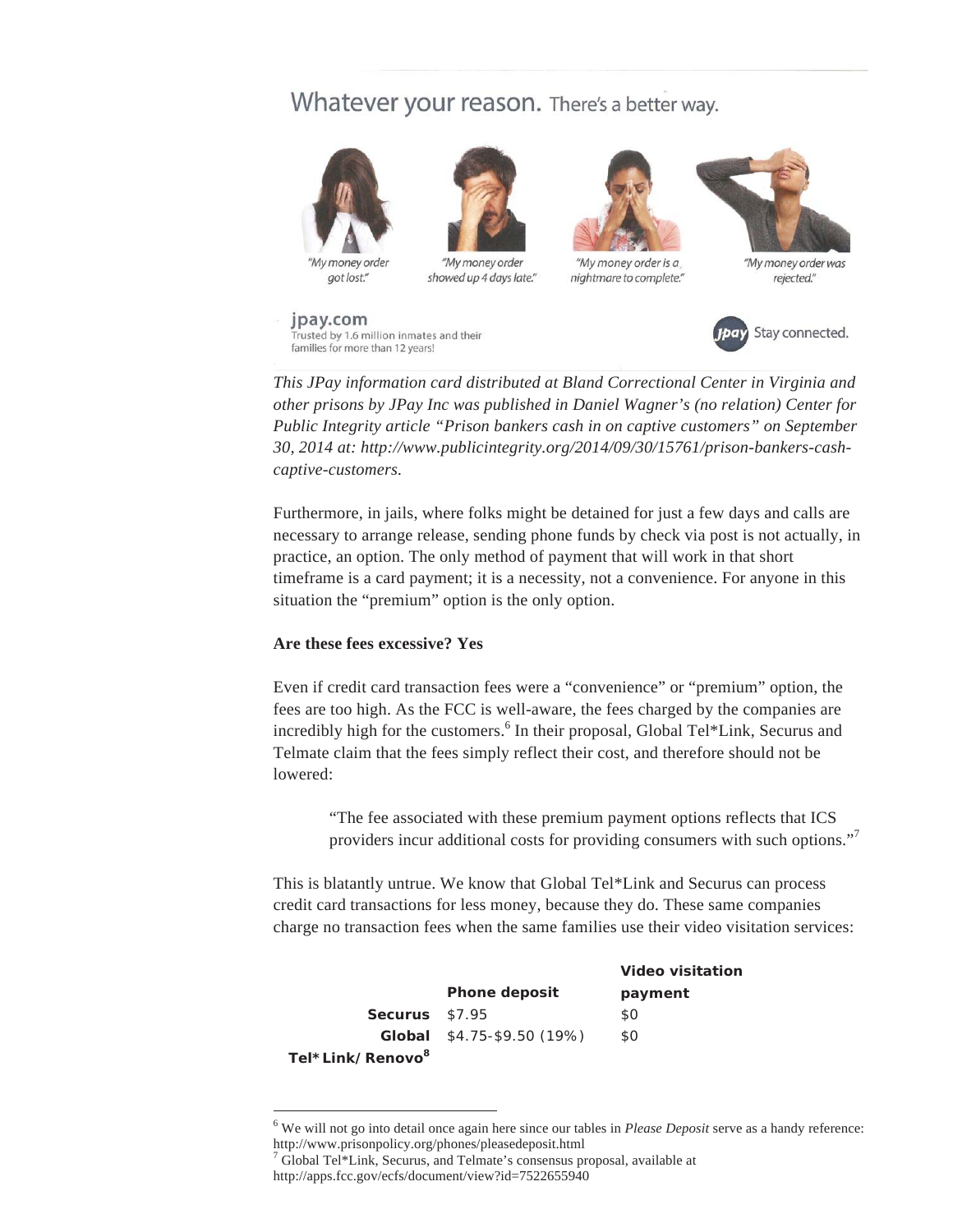# Whatever your reason. There's a better way.



got lost."

Trusted by 1.6 million inmates and their families for more than 12 years!

jpay.com



"My money order showed up 4 days late."



"My money order is a nightmare to complete."



"My money order was rejected."



*This JPay information card distributed at Bland Correctional Center in Virginia and other prisons by JPay Inc was published in Daniel Wagner's (no relation) Center for Public Integrity article "Prison bankers cash in on captive customers" on September 30, 2014 at: http://www.publicintegrity.org/2014/09/30/15761/prison-bankers-cashcaptive-customers.* 

Furthermore, in jails, where folks might be detained for just a few days and calls are necessary to arrange release, sending phone funds by check via post is not actually, in practice, an option. The only method of payment that will work in that short timeframe is a card payment; it is a necessity, not a convenience. For anyone in this situation the "premium" option is the only option.

## **Are these fees excessive? Yes**

Even if credit card transaction fees were a "convenience" or "premium" option, the fees are too high. As the FCC is well-aware, the fees charged by the companies are incredibly high for the customers.<sup>6</sup> In their proposal, Global Tel\*Link, Securus and Telmate claim that the fees simply reflect their cost, and therefore should not be lowered:

"The fee associated with these premium payment options reflects that ICS providers incur additional costs for providing consumers with such options."<sup>7</sup>

This is blatantly untrue. We know that Global Tel\*Link and Securus can process credit card transactions for less money, because they do. These same companies charge no transaction fees when the same families use their video visitation services:

|                              |                                   | <b>Video visitation</b> |
|------------------------------|-----------------------------------|-------------------------|
|                              | <b>Phone deposit</b>              | payment                 |
| Securus \$7.95               |                                   | \$0                     |
|                              | <b>Global</b> $$4.75-$9.50 (19%)$ | SO.                     |
| Tel*Link/Renovo <sup>8</sup> |                                   |                         |

<sup>6</sup> We will not go into detail once again here since our tables in *Please Deposit* serve as a handy reference: http://www.prisonpolicy.org/phones/pleasedeposit.html

 $\overline{a}$ 

<sup>&</sup>lt;sup>7</sup> Global Tel\*Link, Securus, and Telmate's consensus proposal, available at

http://apps.fcc.gov/ecfs/document/view?id=7522655940